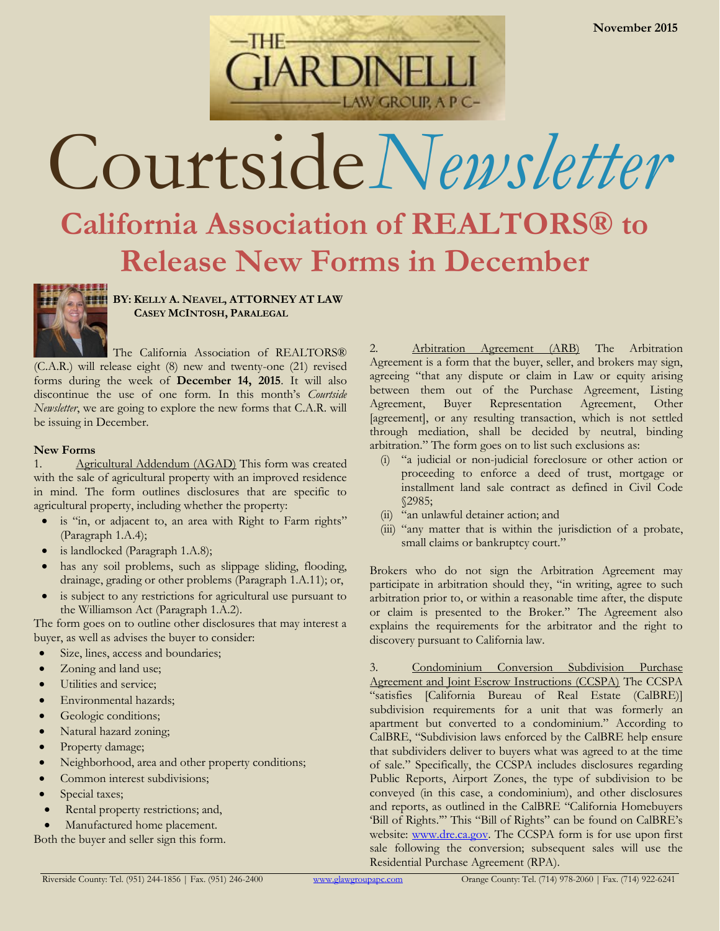

# Courtside*Newsletter*

## **California Association of REALTORS® to Release New Forms in December**



**BY: KELLY A. NEAVEL, ATTORNEY AT LAW CASEY MCINTOSH, PARALEGAL**

The California Association of REALTORS® (C.A.R.) will release eight (8) new and twenty-one (21) revised forms during the week of **December 14, 2015**. It will also discontinue the use of one form. In this month's *Courtside Newsletter*, we are going to explore the new forms that C.A.R. will be issuing in December.

## **New Forms**

1. Agricultural Addendum (AGAD) This form was created with the sale of agricultural property with an improved residence in mind. The form outlines disclosures that are specific to agricultural property, including whether the property:

- is "in, or adjacent to, an area with Right to Farm rights" (Paragraph 1.A.4);
- is landlocked (Paragraph 1.A.8);
- has any soil problems, such as slippage sliding, flooding, drainage, grading or other problems (Paragraph 1.A.11); or,
- is subject to any restrictions for agricultural use pursuant to the Williamson Act (Paragraph 1.A.2).

The form goes on to outline other disclosures that may interest a buyer, as well as advises the buyer to consider:

- Size, lines, access and boundaries;
- Zoning and land use;
- Utilities and service;
- Environmental hazards;
- Geologic conditions;
- Natural hazard zoning;
- Property damage;
- Neighborhood, area and other property conditions;
- Common interest subdivisions;
- Special taxes;
- Rental property restrictions; and,
- Manufactured home placement.

Both the buyer and seller sign this form.

2. Arbitration Agreement (ARB) The Arbitration Agreement is a form that the buyer, seller, and brokers may sign, agreeing "that any dispute or claim in Law or equity arising between them out of the Purchase Agreement, Listing Agreement, Buyer Representation Agreement, Other [agreement], or any resulting transaction, which is not settled through mediation, shall be decided by neutral, binding arbitration." The form goes on to list such exclusions as:

- (i) "a judicial or non-judicial foreclosure or other action or proceeding to enforce a deed of trust, mortgage or installment land sale contract as defined in Civil Code §2985;
- (ii) "an unlawful detainer action; and
- (iii) "any matter that is within the jurisdiction of a probate, small claims or bankruptcy court."

Brokers who do not sign the Arbitration Agreement may participate in arbitration should they, "in writing, agree to such arbitration prior to, or within a reasonable time after, the dispute or claim is presented to the Broker." The Agreement also explains the requirements for the arbitrator and the right to discovery pursuant to California law.

3. Condominium Conversion Subdivision Purchase Agreement and Joint Escrow Instructions (CCSPA) The CCSPA "satisfies [California Bureau of Real Estate (CalBRE)] subdivision requirements for a unit that was formerly an apartment but converted to a condominium." According to CalBRE, "Subdivision laws enforced by the CalBRE help ensure that subdividers deliver to buyers what was agreed to at the time of sale." Specifically, the CCSPA includes disclosures regarding Public Reports, Airport Zones, the type of subdivision to be conveyed (in this case, a condominium), and other disclosures and reports, as outlined in the CalBRE "California Homebuyers 'Bill of Rights.'" This "Bill of Rights" can be found on CalBRE's website: [www.dre.ca.gov.](http://www.dre.ca.gov/) The CCSPA form is for use upon first sale following the conversion; subsequent sales will use the Residential Purchase Agreement (RPA).